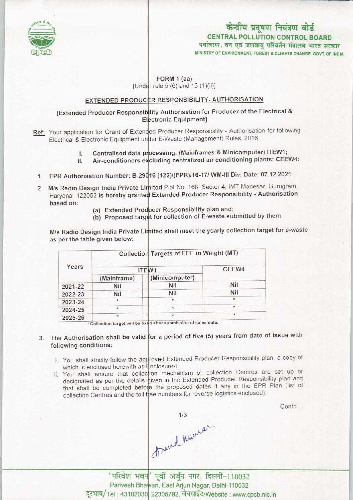

# केन्द्रीय प्रदूषण नियंत्रण बोर्ड CENTRAL POLLUTION CONTROL BOARD<br>पर्यावरण, वन एवं जलवाय परिवर्तन मंत्रालय भारत सरकार MINISTRY OF ENVIRONMENT, FOREST & CLIMATE CHANGE GOVT. OF INDIA

#### FORM 1 (aa) [Under rule 5  $(6)$  and 13  $(1)(ii)$ ]

## <u>EXTENDED PRODUCER RESPONSIBILITY- AUTHORISATION</u>

### [Extended Producer Responsibliity Authorisation for Producer of the Electrical & Electronic Equipment]

- Ref: Your application for Grant of Extended Producer Responsibility Authorisation for following Electrical & Electronic Equipment under E-Waste (Management) Rules, 2016
	- I. Centralised data processing: (Mainframes & Minicomputer) ITEW1
	- II. Air-conditioners excluding centralized air conditioning plants: CEEW4
- 1. EPR Authorisation Number: B-290 16 (122)/(EPR)/16-17/ WM-III Div. Date: 07.12.2021
- 2. M/s Radio Design India Private Limited Plot No. 168, Sector 4, IMT Manesar, Gurugram Haryana- 122052 is hereby granted Extended Producer Responsibility - Authorisation based on:
	- (a) Extended Producer Responsibility plan and;
	- (a) Extended Frequest Respectivity primarile by them.

M/s Radio Design India Private Limited shall meet the yearly collection target for e-waste as per the table given below:

| Years   |             |                | Collection Targets of EEE in Weight (MT) |  |
|---------|-------------|----------------|------------------------------------------|--|
|         |             | ITEW1          | CEEW4                                    |  |
|         | (Mainframe) | (Minicomputer) |                                          |  |
| 2021-22 | <b>Nil</b>  | Nil            | Nil                                      |  |
| 2022-23 | Nil         | Nil            | Nil                                      |  |
| 2023-24 | ÷           | $\star$        |                                          |  |
| 2024-25 | $\star$     | ŵ              | $\star$                                  |  |
| 2025-26 | 実           | $\star$        | $\star$                                  |  |

\*Collection target will be fixed after submission of sales data.

- 3. The Authorisation shall be valid for a period of five (5) years from date of issue with following conditions:
	- i. You shall strictly follow the approved Extended Producer Responsibility plan, a copy of which is enclosed herewith as  $\equiv$ nclosure-li
	- which is enclosed herewith as **#nclosure-l**;<br>ii. You shall ensure that collection mechanism or collection Centres are set up or You shall ensure that collection mechanism of collection.<br>designated as per the details given in the Extended Producer Responsibility plan and designated as per the details given in the Extended Producci Responsionly provided that shall be completed before the proposed dates if any in the EPR Plan (list of collection Centres and the toll free numbers for reverse logistics enclosed)

Contd...

1/3<br>Annual Kurnar

Parivesh Bhawan, East Arjun Nagar, Delhi-110032 Parivesh Bhawan, East Arjun Nagar, Delhi-110032<br>दूरभाष/Tel : 43102030, 22305792, वेबसाईट/Website : www.cpcb.nic.in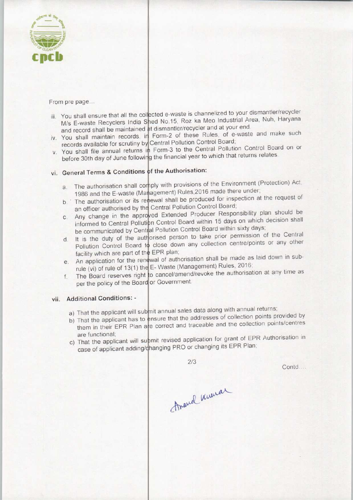

From pre page...

- iii. You shall ensure that all the collected e-waste is channelized to your dismantler/recycler You shall ensure that all the collected e-waste is chall included to year. Nuh, Haryana<br>M/s E-waste Recyclers India Shed No.15, Roz ka Meo Industrial Area, Nuh, Haryana M/S E-waste Recyclers mula Shed No. 10, He had the maintained at dismantler/recycler and at your end.
- and record shall be maintained at dismantier/recycler and at your end.<br>iv. You shall maintain records, in Form-2 of these Rules, of e-waste and make such records available for scrutiny by Central Pollution Control Board
- records available for scruting by Central Pollution Control Control Board on or<br>v. You shall file annual returns in Form-3 to the Central Pollution Control Board on or You shall file annual returns in Form-3 to the contract containt returns relates,<br>before 30th day of June following the financial year to which that returns relates

# vi. General Terms & Conditions of the Authorisation:

- a. The authorisation shall comply with provisions of the Environment (Protection) Act<br>a. The authorisation shall comply with provisions of the Environment (Protection) Act 1986 and the E-waste (Management) Rules,2016 made there under
- 1986 and the E-waste (Management) Nutes, 2010 made there exists the request of b. The authorisation or its renewal shall be produced for inspection at the request of an officer authorised by the Central Pollution Control Board;
- an officer authorised by the Central Pollution Control Board;<br>c. Any change in the approved Extended Producer Responsibility plan should be<br>c. Any change in the approved Extended Producer Responsibility plan should be Any change in the approved Extended Troddeer Responses and which decision shall be communicated by Central Pollution Control Board within sixty days
- is the communicated by Central Pollution Control Board within sixty days;<br>
d. It is the duty of the authorised person to take prior permission of the Central<br>
d. It is the duty of the authorised person to take prior permis It is the duty of the authorised person to take prior permission of the pollution Control Board to close down any collection centre/points or any other facility which are part of the EPR plan;
- facility which are part of the EPR plan;<br>e. An application for the renewal of authorisation shall be made as laid down in sub-<br> $\frac{1}{2}$  Meste (Management) Rules 2016; rule (vi) of rule of 13(1) the E-Waste (Management) Rules, 2016
- o cancel/amend/revoke the authorisation at any time as per the policy of the Board or Government. e. An application for the rest<br>rule (vi) of rule of 13(1) the<br>f. The Board reserves right

#### vii. Additional Conditions: -

- a) That the applicant will submit annual sales data along with annual returns;
- b) That the applicant has to ensure that the addresses of collection points provided by them in their EPR Plan are correct and traceable and the collection points/centres Itional Conditions: -<br>That the applicant will sub-<br>That the applicant has to extension in their EPR Plan and<br>are functional;<br>That the applicant will sub-
- are functional;<br>a) That the applicant will submit revised application for grant of EPR Authorisation in case of applicant adding/changing PRO or changing its EPR Plan;

2/3

Contd...

Amarcal knowar